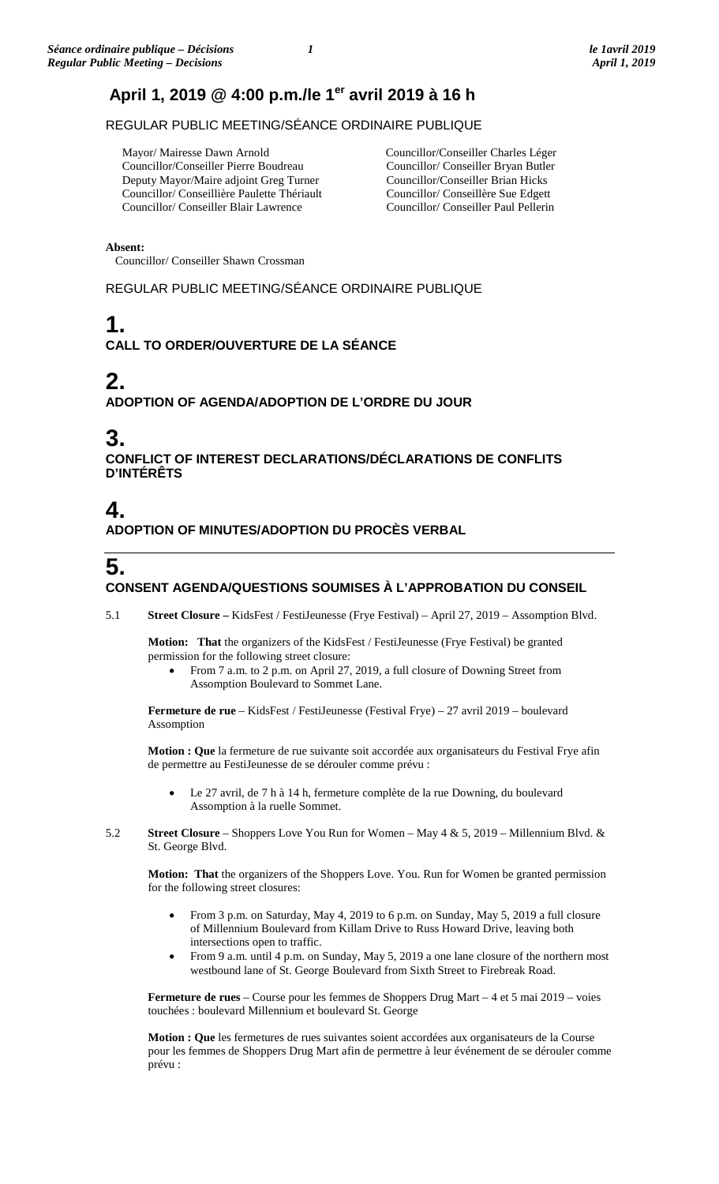# **April 1, 2019 @ 4:00 p.m./le 1er avril 2019 à 16 h**

REGULAR PUBLIC MEETING/SÉANCE ORDINAIRE PUBLIQUE

 Mayor/ Mairesse Dawn Arnold Councillor/Conseiller Pierre Boudreau Deputy Mayor/Maire adjoint Greg Turner Councillor/ Conseillière Paulette Thériault Councillor/ Conseiller Blair Lawrence

Councillor/Conseiller Charles Léger Councillor/ Conseiller Bryan Butler Councillor/Conseiller Brian Hicks Councillor/ Conseillère Sue Edgett Councillor/ Conseiller Paul Pellerin

**Absent:**

Councillor/ Conseiller Shawn Crossman

REGULAR PUBLIC MEETING/SÉANCE ORDINAIRE PUBLIQUE

# **1.**

**CALL TO ORDER/OUVERTURE DE LA SÉANCE**

# **2.**

**ADOPTION OF AGENDA/ADOPTION DE L'ORDRE DU JOUR**

# **3.**

**CONFLICT OF INTEREST DECLARATIONS/DÉCLARATIONS DE CONFLITS D'INTÉRÊTS**

# **4.**

**ADOPTION OF MINUTES/ADOPTION DU PROCÈS VERBAL**

# **5.**

# **CONSENT AGENDA/QUESTIONS SOUMISES À L'APPROBATION DU CONSEIL**

5.1 **Street Closure –** KidsFest / FestiJeunesse (Frye Festival) – April 27, 2019 – Assomption Blvd.

**Motion: That** the organizers of the KidsFest / FestiJeunesse (Frye Festival) be granted permission for the following street closure:

• From 7 a.m. to 2 p.m. on April 27, 2019, a full closure of Downing Street from Assomption Boulevard to Sommet Lane.

**Fermeture de rue** – KidsFest / FestiJeunesse (Festival Frye) – 27 avril 2019 – boulevard Assomption

**Motion : Que** la fermeture de rue suivante soit accordée aux organisateurs du Festival Frye afin de permettre au FestiJeunesse de se dérouler comme prévu :

- Le 27 avril, de 7 h à 14 h, fermeture complète de la rue Downing, du boulevard Assomption à la ruelle Sommet.
- 5.2 **Street Closure** Shoppers Love You Run for Women May 4 & 5, 2019 Millennium Blvd. & St. George Blvd.

**Motion: That** the organizers of the Shoppers Love. You. Run for Women be granted permission for the following street closures:

- From 3 p.m. on Saturday, May 4, 2019 to 6 p.m. on Sunday, May 5, 2019 a full closure of Millennium Boulevard from Killam Drive to Russ Howard Drive, leaving both intersections open to traffic.
- From 9 a.m. until 4 p.m. on Sunday, May 5, 2019 a one lane closure of the northern most westbound lane of St. George Boulevard from Sixth Street to Firebreak Road.

**Fermeture de rues** – Course pour les femmes de Shoppers Drug Mart – 4 et 5 mai 2019 – voies touchées : boulevard Millennium et boulevard St. George

**Motion : Que** les fermetures de rues suivantes soient accordées aux organisateurs de la Course pour les femmes de Shoppers Drug Mart afin de permettre à leur événement de se dérouler comme prévu :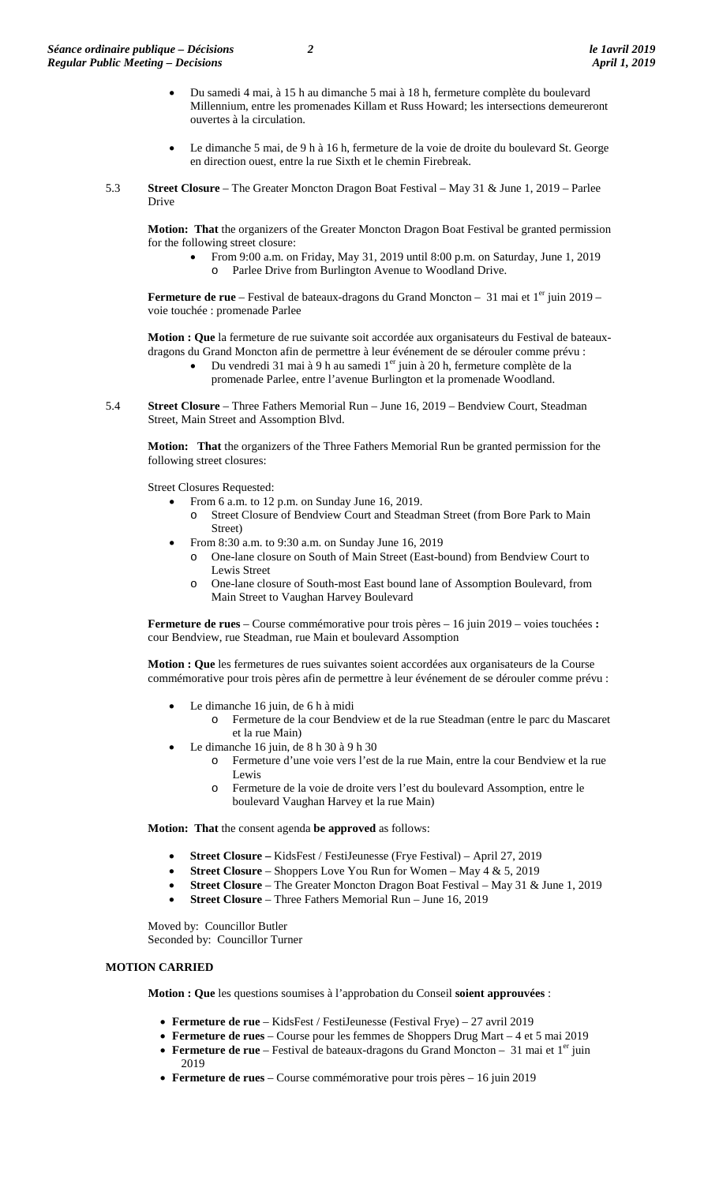- Du samedi 4 mai, à 15 h au dimanche 5 mai à 18 h, fermeture complète du boulevard Millennium, entre les promenades Killam et Russ Howard; les intersections demeureront ouvertes à la circulation.
- Le dimanche 5 mai, de 9 h à 16 h, fermeture de la voie de droite du boulevard St. George en direction ouest, entre la rue Sixth et le chemin Firebreak.
- 5.3 **Street Closure** The Greater Moncton Dragon Boat Festival May 31 & June 1, 2019 Parlee Drive

**Motion: That** the organizers of the Greater Moncton Dragon Boat Festival be granted permission for the following street closure:

> • From 9:00 a.m. on Friday, May 31, 2019 until 8:00 p.m. on Saturday, June 1, 2019 o Parlee Drive from Burlington Avenue to Woodland Drive.

**Fermeture de rue** – Festival de bateaux-dragons du Grand Moncton – 31 mai et 1<sup>er</sup> juin 2019 – voie touchée : promenade Parlee

**Motion : Que** la fermeture de rue suivante soit accordée aux organisateurs du Festival de bateauxdragons du Grand Moncton afin de permettre à leur événement de se dérouler comme prévu :

- Du vendredi 31 mai à 9 h au samedi 1er juin à 20 h, fermeture complète de la promenade Parlee, entre l'avenue Burlington et la promenade Woodland.
- 5.4 **Street Closure** Three Fathers Memorial Run June 16, 2019 Bendview Court, Steadman Street, Main Street and Assomption Blvd.

**Motion: That** the organizers of the Three Fathers Memorial Run be granted permission for the following street closures:

Street Closures Requested:

- From 6 a.m. to 12 p.m. on Sunday June 16, 2019.
	- Street Closure of Bendview Court and Steadman Street (from Bore Park to Main Street)
- From 8:30 a.m. to 9:30 a.m. on Sunday June 16, 2019
	- o One-lane closure on South of Main Street (East-bound) from Bendview Court to Lewis Street
	- o One-lane closure of South-most East bound lane of Assomption Boulevard, from Main Street to Vaughan Harvey Boulevard

**Fermeture de rues** – Course commémorative pour trois pères – 16 juin 2019 – voies touchées **:**  cour Bendview, rue Steadman, rue Main et boulevard Assomption

**Motion : Que** les fermetures de rues suivantes soient accordées aux organisateurs de la Course commémorative pour trois pères afin de permettre à leur événement de se dérouler comme prévu :

- Le dimanche 16 juin, de 6 h à midi
	- o Fermeture de la cour Bendview et de la rue Steadman (entre le parc du Mascaret et la rue Main)
- Le dimanche 16 juin, de 8 h 30 à 9 h 30
	- o Fermeture d'une voie vers l'est de la rue Main, entre la cour Bendview et la rue Lewis
	- Fermeture de la voie de droite vers l'est du boulevard Assomption, entre le boulevard Vaughan Harvey et la rue Main)

**Motion: That** the consent agenda **be approved** as follows:

- **Street Closure –** KidsFest / FestiJeunesse (Frye Festival) April 27, 2019
- **Street Closure** Shoppers Love You Run for Women May 4 & 5, 2019
- **Street Closure** The Greater Moncton Dragon Boat Festival May 31 & June 1, 2019
- **Street Closure** Three Fathers Memorial Run June 16, 2019

Moved by: Councillor Butler Seconded by: Councillor Turner

# **MOTION CARRIED**

**Motion : Que** les questions soumises à l'approbation du Conseil **soient approuvées** :

- **Fermeture de rue** KidsFest / FestiJeunesse (Festival Frye) 27 avril 2019
- **Fermeture de rues** Course pour les femmes de Shoppers Drug Mart 4 et 5 mai 2019
- **Fermeture de rue** Festival de bateaux-dragons du Grand Moncton 31 mai et 1<sup>er</sup> juin 2019
- **Fermeture de rues** Course commémorative pour trois pères 16 juin 2019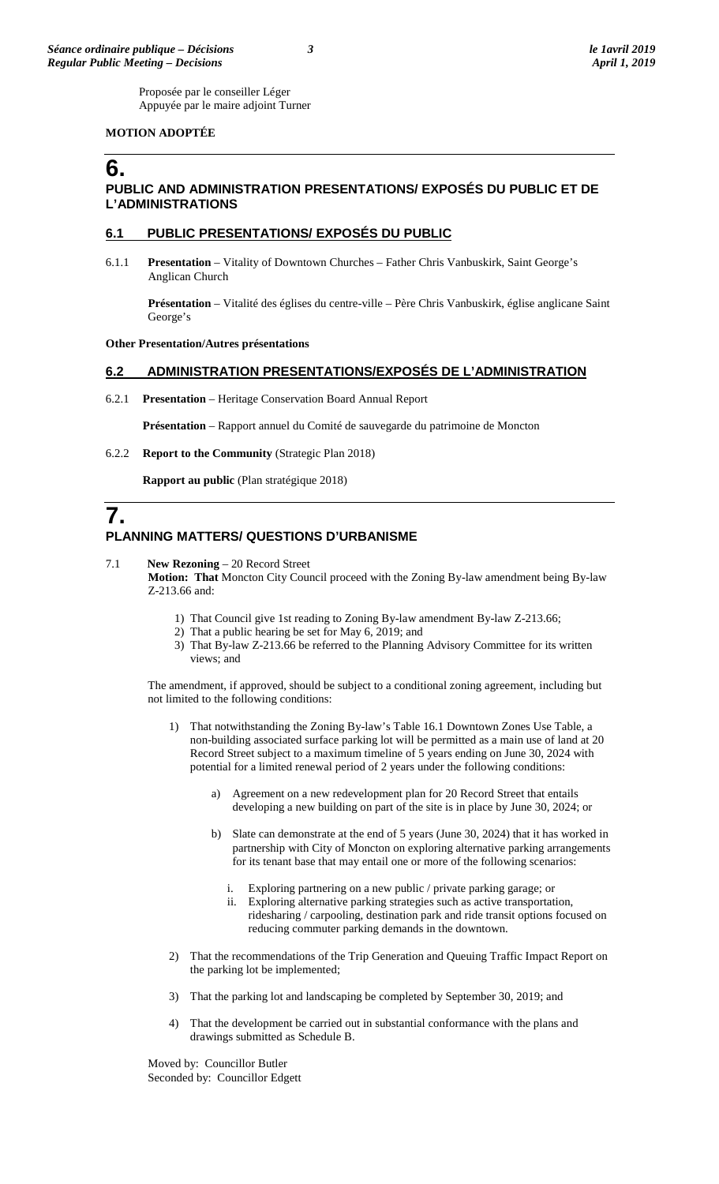Proposée par le conseiller Léger Appuyée par le maire adjoint Turner

# **MOTION ADOPTÉE**

# **6. PUBLIC AND ADMINISTRATION PRESENTATIONS/ EXPOSÉS DU PUBLIC ET DE L'ADMINISTRATIONS**

# **6.1 PUBLIC PRESENTATIONS/ EXPOSÉS DU PUBLIC**

6.1.1 **Presentation** – Vitality of Downtown Churches – Father Chris Vanbuskirk, Saint George's Anglican Church

**Présentation** – Vitalité des églises du centre-ville – Père Chris Vanbuskirk, église anglicane Saint George's

#### **Other Presentation/Autres présentations**

# **6.2 ADMINISTRATION PRESENTATIONS/EXPOSÉS DE L'ADMINISTRATION**

6.2.1 **Presentation** – Heritage Conservation Board Annual Report

**Présentation** – Rapport annuel du Comité de sauvegarde du patrimoine de Moncton

6.2.2 **Report to the Community** (Strategic Plan 2018)

**Rapport au public** (Plan stratégique 2018)

# **7. PLANNING MATTERS/ QUESTIONS D'URBANISME**

7.1 **New Rezoning** – 20 Record Street

**Motion: That** Moncton City Council proceed with the Zoning By-law amendment being By-law Z-213.66 and:

- 1) That Council give 1st reading to Zoning By-law amendment By-law Z-213.66;
- 2) That a public hearing be set for May 6, 2019; and
- 3) That By-law Z-213.66 be referred to the Planning Advisory Committee for its written views; and

The amendment, if approved, should be subject to a conditional zoning agreement, including but not limited to the following conditions:

- 1) That notwithstanding the Zoning By-law's Table 16.1 Downtown Zones Use Table, a non-building associated surface parking lot will be permitted as a main use of land at 20 Record Street subject to a maximum timeline of 5 years ending on June 30, 2024 with potential for a limited renewal period of 2 years under the following conditions:
	- a) Agreement on a new redevelopment plan for 20 Record Street that entails developing a new building on part of the site is in place by June 30, 2024; or
	- b) Slate can demonstrate at the end of 5 years (June 30, 2024) that it has worked in partnership with City of Moncton on exploring alternative parking arrangements for its tenant base that may entail one or more of the following scenarios:
		- i. Exploring partnering on a new public / private parking garage; or
		- ii. Exploring alternative parking strategies such as active transportation, ridesharing / carpooling, destination park and ride transit options focused on reducing commuter parking demands in the downtown.
- 2) That the recommendations of the Trip Generation and Queuing Traffic Impact Report on the parking lot be implemented;
- 3) That the parking lot and landscaping be completed by September 30, 2019; and
- 4) That the development be carried out in substantial conformance with the plans and drawings submitted as Schedule B.

Moved by: Councillor Butler Seconded by: Councillor Edgett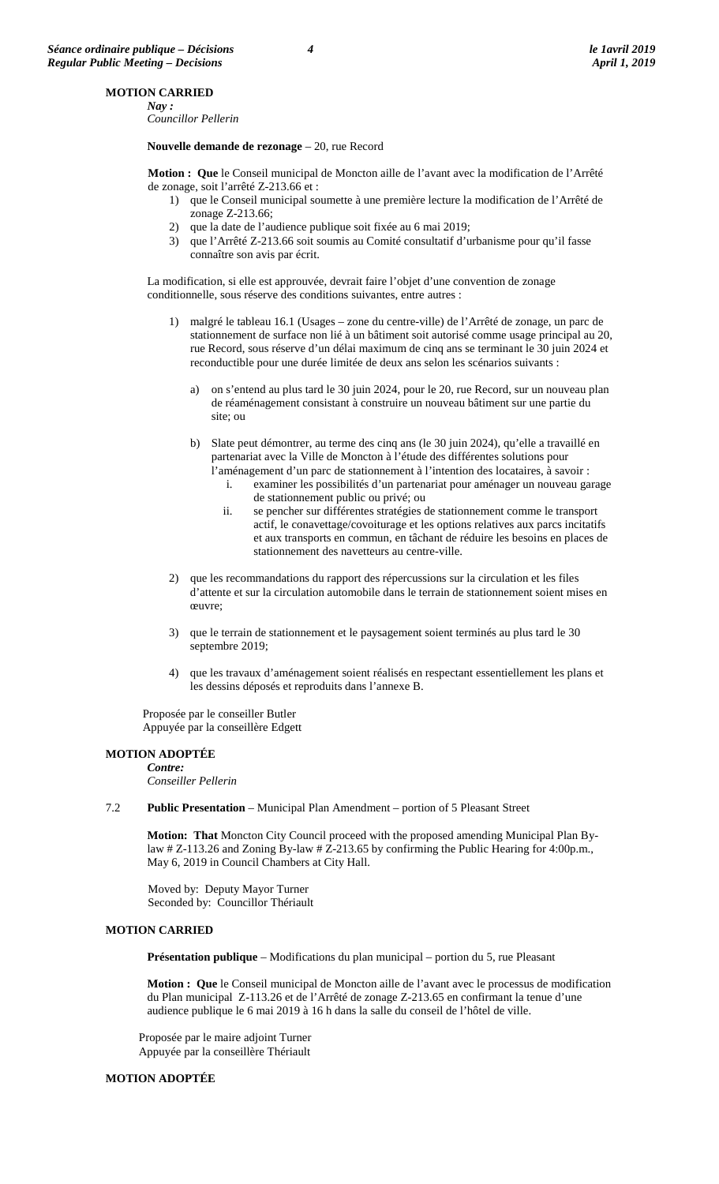# **MOTION CARRIED**

*Nay : Councillor Pellerin*

**Nouvelle demande de rezonage** – 20, rue Record

**Motion : Que** le Conseil municipal de Moncton aille de l'avant avec la modification de l'Arrêté de zonage, soit l'arrêté Z-213.66 et :

- 1) que le Conseil municipal soumette à une première lecture la modification de l'Arrêté de zonage Z-213.66;
- 2) que la date de l'audience publique soit fixée au 6 mai 2019;
- 3) que l'Arrêté Z-213.66 soit soumis au Comité consultatif d'urbanisme pour qu'il fasse connaître son avis par écrit.

La modification, si elle est approuvée, devrait faire l'objet d'une convention de zonage conditionnelle, sous réserve des conditions suivantes, entre autres :

- 1) malgré le tableau 16.1 (Usages zone du centre-ville) de l'Arrêté de zonage, un parc de stationnement de surface non lié à un bâtiment soit autorisé comme usage principal au 20, rue Record, sous réserve d'un délai maximum de cinq ans se terminant le 30 juin 2024 et reconductible pour une durée limitée de deux ans selon les scénarios suivants :
	- a) on s'entend au plus tard le 30 juin 2024, pour le 20, rue Record, sur un nouveau plan de réaménagement consistant à construire un nouveau bâtiment sur une partie du site; ou
	- b) Slate peut démontrer, au terme des cinq ans (le 30 juin 2024), qu'elle a travaillé en partenariat avec la Ville de Moncton à l'étude des différentes solutions pour l'aménagement d'un parc de stationnement à l'intention des locataires, à savoir :
		- i. examiner les possibilités d'un partenariat pour aménager un nouveau garage de stationnement public ou privé; ou
		- ii. se pencher sur différentes stratégies de stationnement comme le transport actif, le conavettage/covoiturage et les options relatives aux parcs incitatifs et aux transports en commun, en tâchant de réduire les besoins en places de stationnement des navetteurs au centre-ville.
- 2) que les recommandations du rapport des répercussions sur la circulation et les files d'attente et sur la circulation automobile dans le terrain de stationnement soient mises en œuvre;
- 3) que le terrain de stationnement et le paysagement soient terminés au plus tard le 30 septembre 2019;
- 4) que les travaux d'aménagement soient réalisés en respectant essentiellement les plans et les dessins déposés et reproduits dans l'annexe B.

Proposée par le conseiller Butler Appuyée par la conseillère Edgett

#### **MOTION ADOPTÉE** *Contre:*

*Conseiller Pellerin*

7.2 **Public Presentation** – Municipal Plan Amendment – portion of 5 Pleasant Street

**Motion: That** Moncton City Council proceed with the proposed amending Municipal Plan Bylaw # Z-113.26 and Zoning By-law # Z-213.65 by confirming the Public Hearing for 4:00p.m., May 6, 2019 in Council Chambers at City Hall.

Moved by: Deputy Mayor Turner Seconded by: Councillor Thériault

### **MOTION CARRIED**

**Présentation publique** – Modifications du plan municipal – portion du 5, rue Pleasant

**Motion : Que** le Conseil municipal de Moncton aille de l'avant avec le processus de modification du Plan municipal Z-113.26 et de l'Arrêté de zonage Z-213.65 en confirmant la tenue d'une audience publique le 6 mai 2019 à 16 h dans la salle du conseil de l'hôtel de ville.

Proposée par le maire adjoint Turner Appuyée par la conseillère Thériault

#### **MOTION ADOPTÉE**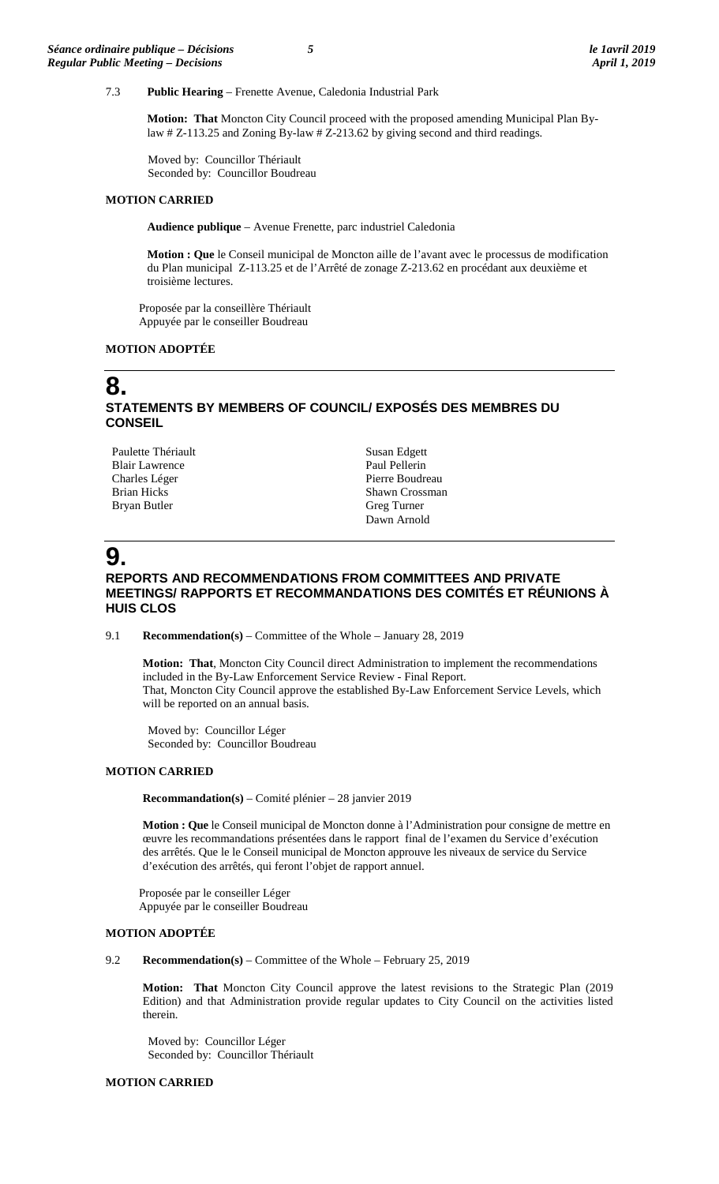## 7.3 **Public Hearing** – Frenette Avenue, Caledonia Industrial Park

**Motion: That** Moncton City Council proceed with the proposed amending Municipal Plan Bylaw # Z-113.25 and Zoning By-law # Z-213.62 by giving second and third readings.

Moved by: Councillor Thériault Seconded by: Councillor Boudreau

#### **MOTION CARRIED**

**Audience publique** – Avenue Frenette, parc industriel Caledonia

**Motion : Que** le Conseil municipal de Moncton aille de l'avant avec le processus de modification du Plan municipal Z-113.25 et de l'Arrêté de zonage Z-213.62 en procédant aux deuxième et troisième lectures.

Proposée par la conseillère Thériault Appuyée par le conseiller Boudreau

# **MOTION ADOPTÉE**

# **8. STATEMENTS BY MEMBERS OF COUNCIL/ EXPOSÉS DES MEMBRES DU CONSEIL**

Paulette Thériault Blair Lawrence Charles Léger Brian Hicks Bryan Butler

Susan Edgett Paul Pellerin Pierre Boudreau Shawn Crossman Greg Turner Dawn Arnold

# **9.**

# **REPORTS AND RECOMMENDATIONS FROM COMMITTEES AND PRIVATE MEETINGS/ RAPPORTS ET RECOMMANDATIONS DES COMITÉS ET RÉUNIONS À HUIS CLOS**

9.1 **Recommendation(s)** – Committee of the Whole – January 28, 2019

**Motion: That**, Moncton City Council direct Administration to implement the recommendations included in the By-Law Enforcement Service Review - Final Report. That, Moncton City Council approve the established By-Law Enforcement Service Levels, which will be reported on an annual basis.

Moved by: Councillor Léger Seconded by: Councillor Boudreau

#### **MOTION CARRIED**

**Recommandation(s)** – Comité plénier – 28 janvier 2019

**Motion : Que** le Conseil municipal de Moncton donne à l'Administration pour consigne de mettre en œuvre les recommandations présentées dans le rapport final de l'examen du Service d'exécution des arrêtés. Que le le Conseil municipal de Moncton approuve les niveaux de service du Service d'exécution des arrêtés, qui feront l'objet de rapport annuel.

Proposée par le conseiller Léger Appuyée par le conseiller Boudreau

#### **MOTION ADOPTÉE**

9.2 **Recommendation(s)** – Committee of the Whole – February 25, 2019

**Motion: That** Moncton City Council approve the latest revisions to the Strategic Plan (2019 Edition) and that Administration provide regular updates to City Council on the activities listed therein.

Moved by: Councillor Léger Seconded by: Councillor Thériault

#### **MOTION CARRIED**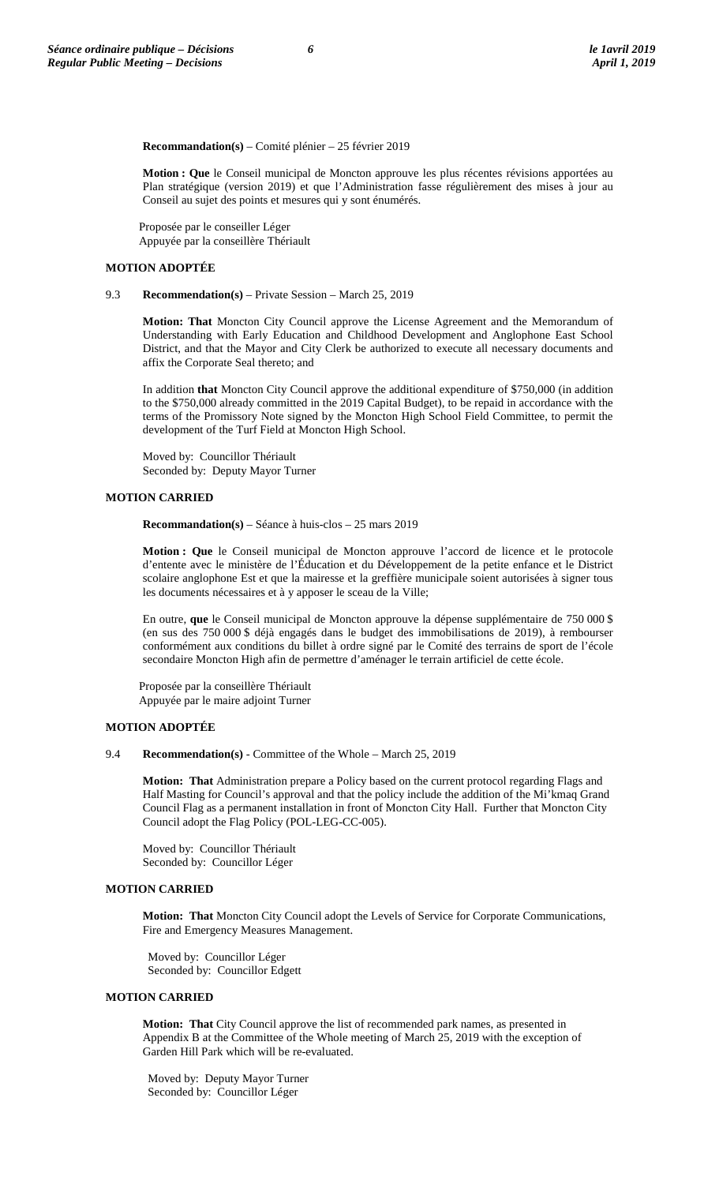**Recommandation(s)** – Comité plénier – 25 février 2019

**Motion : Que** le Conseil municipal de Moncton approuve les plus récentes révisions apportées au Plan stratégique (version 2019) et que l'Administration fasse régulièrement des mises à jour au Conseil au sujet des points et mesures qui y sont énumérés.

Proposée par le conseiller Léger Appuyée par la conseillère Thériault

## **MOTION ADOPTÉE**

#### 9.3 **Recommendation(s)** – Private Session – March 25, 2019

**Motion: That** Moncton City Council approve the License Agreement and the Memorandum of Understanding with Early Education and Childhood Development and Anglophone East School District, and that the Mayor and City Clerk be authorized to execute all necessary documents and affix the Corporate Seal thereto; and

In addition **that** Moncton City Council approve the additional expenditure of \$750,000 (in addition to the \$750,000 already committed in the 2019 Capital Budget), to be repaid in accordance with the terms of the Promissory Note signed by the Moncton High School Field Committee, to permit the development of the Turf Field at Moncton High School.

Moved by: Councillor Thériault Seconded by: Deputy Mayor Turner

# **MOTION CARRIED**

**Recommandation(s)** – Séance à huis-clos – 25 mars 2019

**Motion : Que** le Conseil municipal de Moncton approuve l'accord de licence et le protocole d'entente avec le ministère de l'Éducation et du Développement de la petite enfance et le District scolaire anglophone Est et que la mairesse et la greffière municipale soient autorisées à signer tous les documents nécessaires et à y apposer le sceau de la Ville;

En outre, **que** le Conseil municipal de Moncton approuve la dépense supplémentaire de 750 000 \$ (en sus des 750 000 \$ déjà engagés dans le budget des immobilisations de 2019), à rembourser conformément aux conditions du billet à ordre signé par le Comité des terrains de sport de l'école secondaire Moncton High afin de permettre d'aménager le terrain artificiel de cette école.

Proposée par la conseillère Thériault Appuyée par le maire adjoint Turner

#### **MOTION ADOPTÉE**

#### 9.4 **Recommendation(s)** - Committee of the Whole – March 25, 2019

**Motion: That** Administration prepare a Policy based on the current protocol regarding Flags and Half Masting for Council's approval and that the policy include the addition of the Mi'kmaq Grand Council Flag as a permanent installation in front of Moncton City Hall. Further that Moncton City Council adopt the Flag Policy (POL-LEG-CC-005).

Moved by: Councillor Thériault Seconded by: Councillor Léger

# **MOTION CARRIED**

**Motion: That** Moncton City Council adopt the Levels of Service for Corporate Communications, Fire and Emergency Measures Management.

Moved by: Councillor Léger Seconded by: Councillor Edgett

### **MOTION CARRIED**

**Motion: That** City Council approve the list of recommended park names, as presented in Appendix B at the Committee of the Whole meeting of March 25, 2019 with the exception of Garden Hill Park which will be re-evaluated.

Moved by: Deputy Mayor Turner Seconded by: Councillor Léger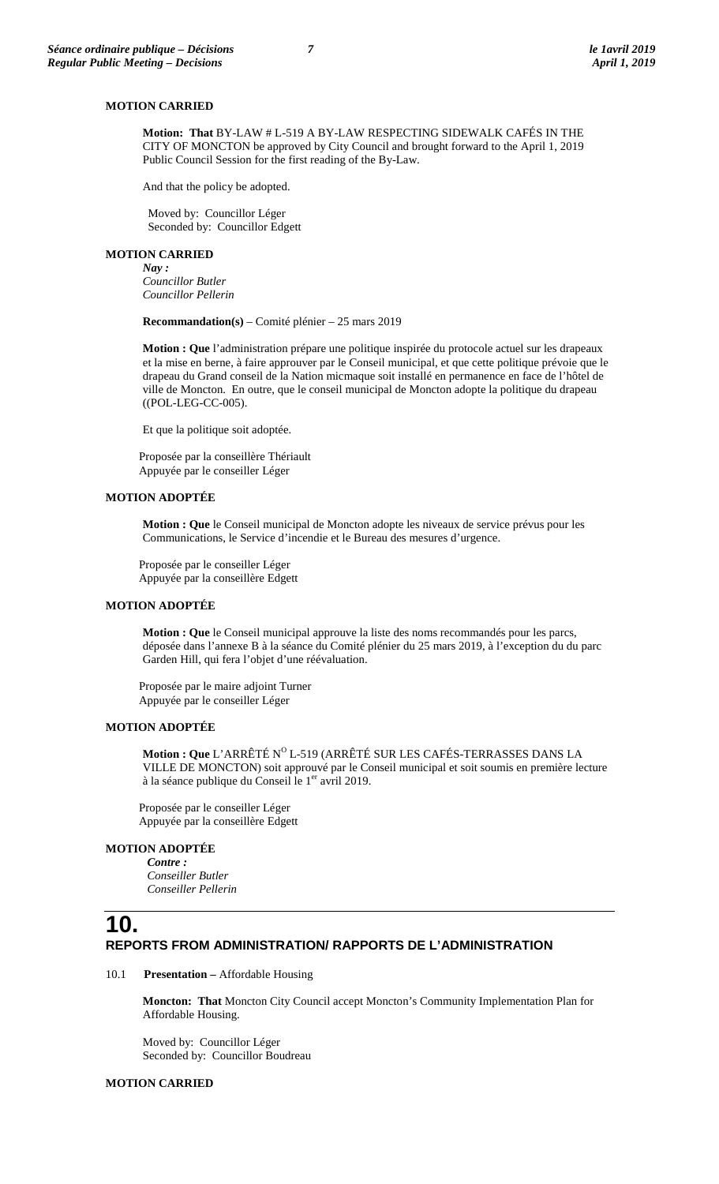#### **MOTION CARRIED**

**Motion: That** BY-LAW # L-519 A BY-LAW RESPECTING SIDEWALK CAFÉS IN THE CITY OF MONCTON be approved by City Council and brought forward to the April 1, 2019 Public Council Session for the first reading of the By-Law.

And that the policy be adopted.

Moved by: Councillor Léger Seconded by: Councillor Edgett

### **MOTION CARRIED**

*Nay : Councillor Butler Councillor Pellerin*

**Recommandation(s)** – Comité plénier – 25 mars 2019

**Motion : Que** l'administration prépare une politique inspirée du protocole actuel sur les drapeaux et la mise en berne, à faire approuver par le Conseil municipal, et que cette politique prévoie que le drapeau du Grand conseil de la Nation micmaque soit installé en permanence en face de l'hôtel de ville de Moncton. En outre, que le conseil municipal de Moncton adopte la politique du drapeau ((POL-LEG-CC-005).

Et que la politique soit adoptée.

Proposée par la conseillère Thériault Appuyée par le conseiller Léger

### **MOTION ADOPTÉE**

**Motion : Que** le Conseil municipal de Moncton adopte les niveaux de service prévus pour les Communications, le Service d'incendie et le Bureau des mesures d'urgence.

Proposée par le conseiller Léger Appuyée par la conseillère Edgett

# **MOTION ADOPTÉE**

**Motion : Que** le Conseil municipal approuve la liste des noms recommandés pour les parcs, déposée dans l'annexe B à la séance du Comité plénier du 25 mars 2019, à l'exception du du parc Garden Hill, qui fera l'objet d'une réévaluation.

Proposée par le maire adjoint Turner Appuyée par le conseiller Léger

#### **MOTION ADOPTÉE**

**Motion : Que** L'ARRÊTÉ N<sup>O</sup> L-519 (ARRÊTÉ SUR LES CAFÉS-TERRASSES DANS LA VILLE DE MONCTON) soit approuvé par le Conseil municipal et soit soumis en première lecture à la séance publique du Conseil le  $1<sup>er</sup>$  avril 2019.

Proposée par le conseiller Léger Appuyée par la conseillère Edgett

# **MOTION ADOPTÉE**

*Contre : Conseiller Butler Conseiller Pellerin*

# **10. REPORTS FROM ADMINISTRATION/ RAPPORTS DE L'ADMINISTRATION**

#### 10.1 **Presentation –** Affordable Housing

**Moncton: That** Moncton City Council accept Moncton's Community Implementation Plan for Affordable Housing.

Moved by: Councillor Léger Seconded by: Councillor Boudreau

# **MOTION CARRIED**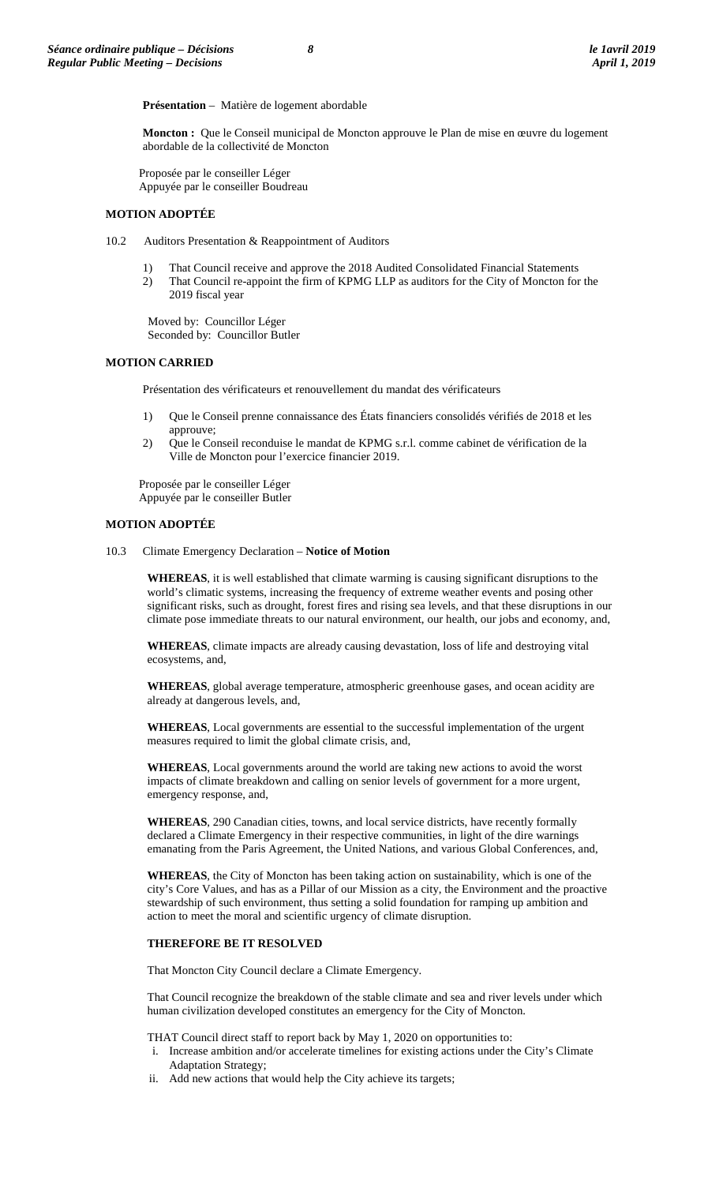**Présentation** – Matière de logement abordable

**Moncton :** Que le Conseil municipal de Moncton approuve le Plan de mise en œuvre du logement abordable de la collectivité de Moncton

Proposée par le conseiller Léger Appuyée par le conseiller Boudreau

#### **MOTION ADOPTÉE**

- 10.2 Auditors Presentation & Reappointment of Auditors
	- 1) That Council receive and approve the 2018 Audited Consolidated Financial Statements
	- 2) That Council re-appoint the firm of KPMG LLP as auditors for the City of Moncton for the 2019 fiscal year

Moved by: Councillor Léger Seconded by: Councillor Butler

### **MOTION CARRIED**

Présentation des vérificateurs et renouvellement du mandat des vérificateurs

- 1) Que le Conseil prenne connaissance des États financiers consolidés vérifiés de 2018 et les approuve;
- 2) Que le Conseil reconduise le mandat de KPMG s.r.l. comme cabinet de vérification de la Ville de Moncton pour l'exercice financier 2019.

Proposée par le conseiller Léger Appuyée par le conseiller Butler

#### **MOTION ADOPTÉE**

10.3 Climate Emergency Declaration – **Notice of Motion**

**WHEREAS**, it is well established that climate warming is causing significant disruptions to the world's climatic systems, increasing the frequency of extreme weather events and posing other significant risks, such as drought, forest fires and rising sea levels, and that these disruptions in our climate pose immediate threats to our natural environment, our health, our jobs and economy, and,

**WHEREAS**, climate impacts are already causing devastation, loss of life and destroying vital ecosystems, and,

**WHEREAS**, global average temperature, atmospheric greenhouse gases, and ocean acidity are already at dangerous levels, and,

**WHEREAS**, Local governments are essential to the successful implementation of the urgent measures required to limit the global climate crisis, and,

**WHEREAS**, Local governments around the world are taking new actions to avoid the worst impacts of climate breakdown and calling on senior levels of government for a more urgent, emergency response, and,

**WHEREAS**, 290 Canadian cities, towns, and local service districts, have recently formally declared a Climate Emergency in their respective communities, in light of the dire warnings emanating from the Paris Agreement, the United Nations, and various Global Conferences, and,

**WHEREAS**, the City of Moncton has been taking action on sustainability, which is one of the city's Core Values, and has as a Pillar of our Mission as a city, the Environment and the proactive stewardship of such environment, thus setting a solid foundation for ramping up ambition and action to meet the moral and scientific urgency of climate disruption.

### **THEREFORE BE IT RESOLVED**

That Moncton City Council declare a Climate Emergency.

That Council recognize the breakdown of the stable climate and sea and river levels under which human civilization developed constitutes an emergency for the City of Moncton.

THAT Council direct staff to report back by May 1, 2020 on opportunities to:

- i. Increase ambition and/or accelerate timelines for existing actions under the City's Climate Adaptation Strategy;
- ii. Add new actions that would help the City achieve its targets;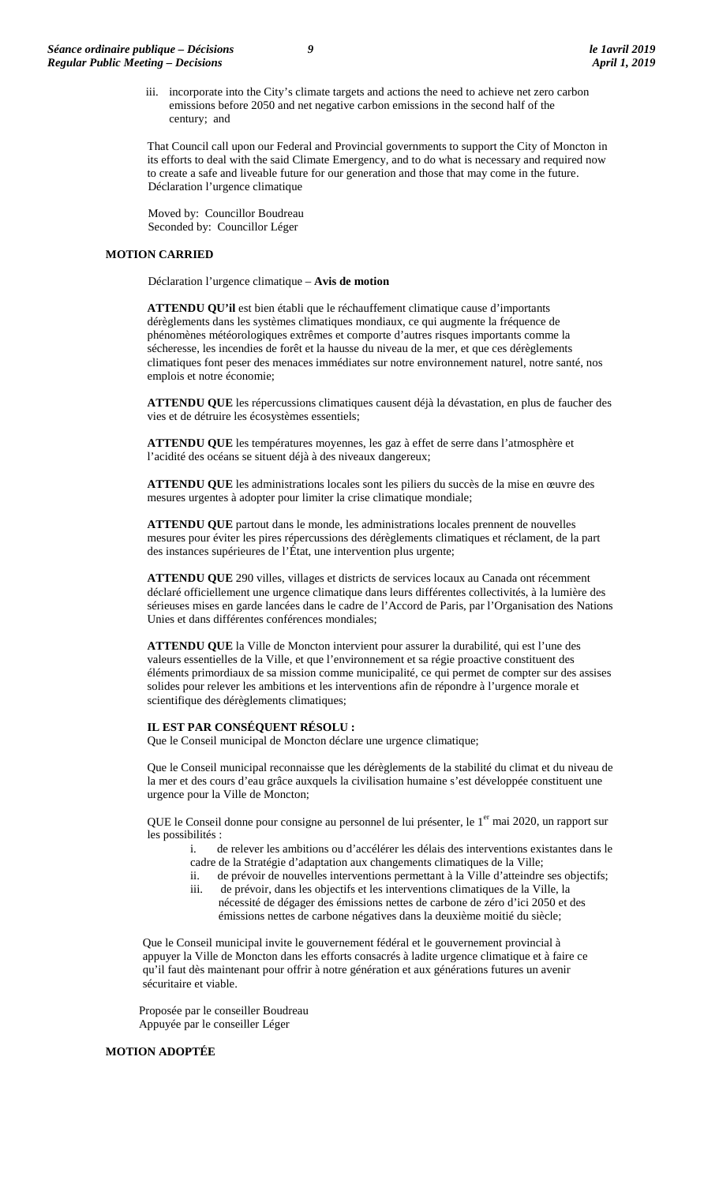iii. incorporate into the City's climate targets and actions the need to achieve net zero carbon emissions before 2050 and net negative carbon emissions in the second half of the century; and

That Council call upon our Federal and Provincial governments to support the City of Moncton in its efforts to deal with the said Climate Emergency, and to do what is necessary and required now to create a safe and liveable future for our generation and those that may come in the future. Déclaration l'urgence climatique

Moved by: Councillor Boudreau Seconded by: Councillor Léger

### **MOTION CARRIED**

Déclaration l'urgence climatique – **Avis de motion**

**ATTENDU QU'il** est bien établi que le réchauffement climatique cause d'importants dérèglements dans les systèmes climatiques mondiaux, ce qui augmente la fréquence de phénomènes météorologiques extrêmes et comporte d'autres risques importants comme la sécheresse, les incendies de forêt et la hausse du niveau de la mer, et que ces dérèglements climatiques font peser des menaces immédiates sur notre environnement naturel, notre santé, nos emplois et notre économie;

**ATTENDU QUE** les répercussions climatiques causent déjà la dévastation, en plus de faucher des vies et de détruire les écosystèmes essentiels;

**ATTENDU QUE** les températures moyennes, les gaz à effet de serre dans l'atmosphère et l'acidité des océans se situent déjà à des niveaux dangereux;

**ATTENDU QUE** les administrations locales sont les piliers du succès de la mise en œuvre des mesures urgentes à adopter pour limiter la crise climatique mondiale;

**ATTENDU QUE** partout dans le monde, les administrations locales prennent de nouvelles mesures pour éviter les pires répercussions des dérèglements climatiques et réclament, de la part des instances supérieures de l'État, une intervention plus urgente;

**ATTENDU QUE** 290 villes, villages et districts de services locaux au Canada ont récemment déclaré officiellement une urgence climatique dans leurs différentes collectivités, à la lumière des sérieuses mises en garde lancées dans le cadre de l'Accord de Paris, par l'Organisation des Nations Unies et dans différentes conférences mondiales;

**ATTENDU QUE** la Ville de Moncton intervient pour assurer la durabilité, qui est l'une des valeurs essentielles de la Ville, et que l'environnement et sa régie proactive constituent des éléments primordiaux de sa mission comme municipalité, ce qui permet de compter sur des assises solides pour relever les ambitions et les interventions afin de répondre à l'urgence morale et scientifique des dérèglements climatiques;

#### **IL EST PAR CONSÉQUENT RÉSOLU :**

Que le Conseil municipal de Moncton déclare une urgence climatique;

Que le Conseil municipal reconnaisse que les dérèglements de la stabilité du climat et du niveau de la mer et des cours d'eau grâce auxquels la civilisation humaine s'est développée constituent une urgence pour la Ville de Moncton;

QUE le Conseil donne pour consigne au personnel de lui présenter, le 1<sup>er</sup> mai 2020, un rapport sur les possibilités :

- i. de relever les ambitions ou d'accélérer les délais des interventions existantes dans le cadre de la Stratégie d'adaptation aux changements climatiques de la Ville;
- ii. de prévoir de nouvelles interventions permettant à la Ville d'atteindre ses objectifs; iii. de prévoir, dans les objectifs et les interventions climatiques de la Ville, la
- nécessité de dégager des émissions nettes de carbone de zéro d'ici 2050 et des émissions nettes de carbone négatives dans la deuxième moitié du siècle;

Que le Conseil municipal invite le gouvernement fédéral et le gouvernement provincial à appuyer la Ville de Moncton dans les efforts consacrés à ladite urgence climatique et à faire ce qu'il faut dès maintenant pour offrir à notre génération et aux générations futures un avenir sécuritaire et viable.

Proposée par le conseiller Boudreau Appuyée par le conseiller Léger

# **MOTION ADOPTÉE**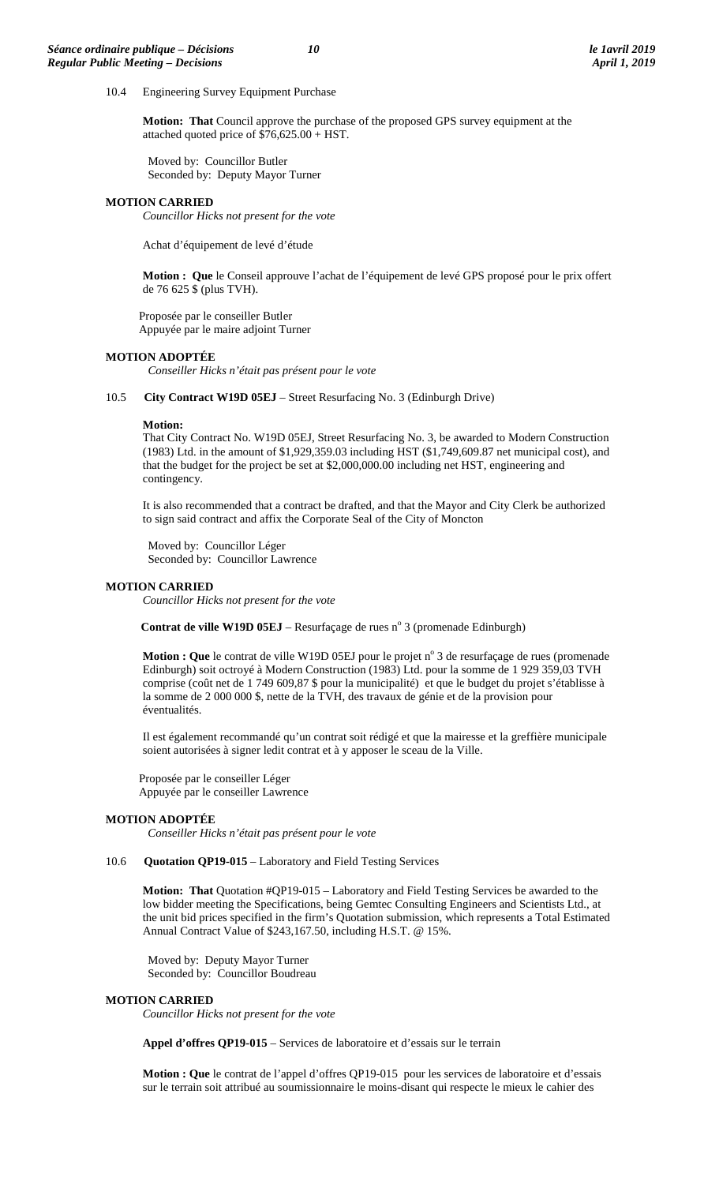10.4 Engineering Survey Equipment Purchase

**Motion: That** Council approve the purchase of the proposed GPS survey equipment at the attached quoted price of \$76,625.00 + HST.

Moved by: Councillor Butler Seconded by: Deputy Mayor Turner

## **MOTION CARRIED**

*Councillor Hicks not present for the vote*

Achat d'équipement de levé d'étude

**Motion : Que** le Conseil approuve l'achat de l'équipement de levé GPS proposé pour le prix offert de 76 625 \$ (plus TVH).

Proposée par le conseiller Butler Appuyée par le maire adjoint Turner

#### **MOTION ADOPTÉE**

*Conseiller Hicks n'était pas présent pour le vote*

10.5 **City Contract W19D 05EJ** – Street Resurfacing No. 3 (Edinburgh Drive)

#### **Motion:**

That City Contract No. W19D 05EJ, Street Resurfacing No. 3, be awarded to Modern Construction (1983) Ltd. in the amount of \$1,929,359.03 including HST (\$1,749,609.87 net municipal cost), and that the budget for the project be set at \$2,000,000.00 including net HST, engineering and contingency.

It is also recommended that a contract be drafted, and that the Mayor and City Clerk be authorized to sign said contract and affix the Corporate Seal of the City of Moncton

Moved by: Councillor Léger Seconded by: Councillor Lawrence

#### **MOTION CARRIED**

*Councillor Hicks not present for the vote*

**Contrat de ville W19D 05EJ** – Resurfaçage de rues nº 3 (promenade Edinburgh)

**Motion : Que** le contrat de ville W19D 05EJ pour le projet n° 3 de resurfaçage de rues (promenade Edinburgh) soit octroyé à Modern Construction (1983) Ltd. pour la somme de 1 929 359,03 TVH comprise (coût net de 1 749 609,87 \$ pour la municipalité) et que le budget du projet s'établisse à la somme de 2 000 000 \$, nette de la TVH, des travaux de génie et de la provision pour éventualités.

Il est également recommandé qu'un contrat soit rédigé et que la mairesse et la greffière municipale soient autorisées à signer ledit contrat et à y apposer le sceau de la Ville.

Proposée par le conseiller Léger Appuyée par le conseiller Lawrence

#### **MOTION ADOPTÉE**

*Conseiller Hicks n'était pas présent pour le vote*

10.6 **Quotation QP19-015** – Laboratory and Field Testing Services

**Motion: That** Quotation #QP19-015 – Laboratory and Field Testing Services be awarded to the low bidder meeting the Specifications, being Gemtec Consulting Engineers and Scientists Ltd., at the unit bid prices specified in the firm's Quotation submission, which represents a Total Estimated Annual Contract Value of \$243,167.50, including H.S.T. @ 15%.

Moved by: Deputy Mayor Turner Seconded by: Councillor Boudreau

#### **MOTION CARRIED**

*Councillor Hicks not present for the vote*

**Appel d'offres QP19-015** – Services de laboratoire et d'essais sur le terrain

**Motion : Que** le contrat de l'appel d'offres QP19-015 pour les services de laboratoire et d'essais sur le terrain soit attribué au soumissionnaire le moins-disant qui respecte le mieux le cahier des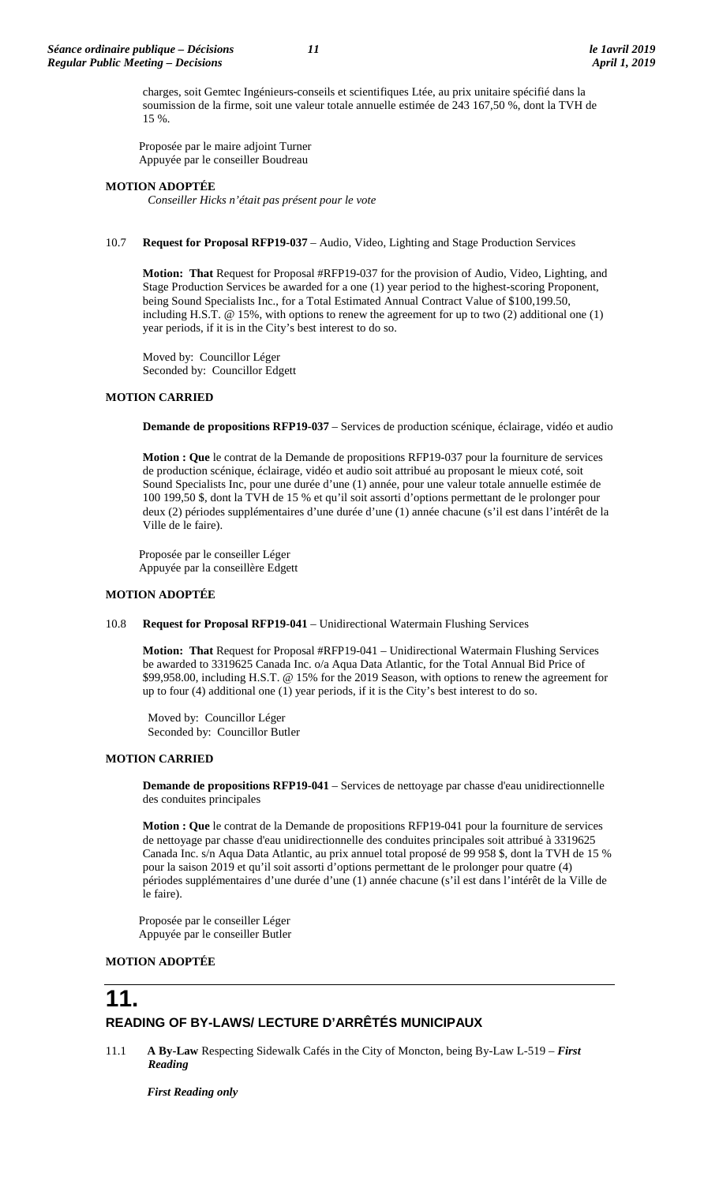charges, soit Gemtec Ingénieurs-conseils et scientifiques Ltée, au prix unitaire spécifié dans la soumission de la firme, soit une valeur totale annuelle estimée de 243 167,50 %, dont la TVH de 15 %.

Proposée par le maire adjoint Turner Appuyée par le conseiller Boudreau

# **MOTION ADOPTÉE**

*Conseiller Hicks n'était pas présent pour le vote*

# 10.7 **Request for Proposal RFP19-037** – Audio, Video, Lighting and Stage Production Services

**Motion: That** Request for Proposal #RFP19-037 for the provision of Audio, Video, Lighting, and Stage Production Services be awarded for a one (1) year period to the highest-scoring Proponent, being Sound Specialists Inc., for a Total Estimated Annual Contract Value of \$100,199.50, including H.S.T. @ 15%, with options to renew the agreement for up to two (2) additional one (1) year periods, if it is in the City's best interest to do so.

Moved by: Councillor Léger Seconded by: Councillor Edgett

# **MOTION CARRIED**

**Demande de propositions RFP19-037** – Services de production scénique, éclairage, vidéo et audio

**Motion : Que** le contrat de la Demande de propositions RFP19-037 pour la fourniture de services de production scénique, éclairage, vidéo et audio soit attribué au proposant le mieux coté, soit Sound Specialists Inc, pour une durée d'une (1) année, pour une valeur totale annuelle estimée de 100 199,50 \$, dont la TVH de 15 % et qu'il soit assorti d'options permettant de le prolonger pour deux (2) périodes supplémentaires d'une durée d'une (1) année chacune (s'il est dans l'intérêt de la Ville de le faire).

Proposée par le conseiller Léger Appuyée par la conseillère Edgett

## **MOTION ADOPTÉE**

10.8 **Request for Proposal RFP19-041** – Unidirectional Watermain Flushing Services

**Motion: That** Request for Proposal #RFP19-041 – Unidirectional Watermain Flushing Services be awarded to 3319625 Canada Inc. o/a Aqua Data Atlantic, for the Total Annual Bid Price of \$99,958.00, including H.S.T. @ 15% for the 2019 Season, with options to renew the agreement for up to four (4) additional one (1) year periods, if it is the City's best interest to do so.

Moved by: Councillor Léger Seconded by: Councillor Butler

# **MOTION CARRIED**

**Demande de propositions RFP19-041** – Services de nettoyage par chasse d'eau unidirectionnelle des conduites principales

**Motion : Que** le contrat de la Demande de propositions RFP19-041 pour la fourniture de services de nettoyage par chasse d'eau unidirectionnelle des conduites principales soit attribué à 3319625 Canada Inc. s/n Aqua Data Atlantic, au prix annuel total proposé de 99 958 \$, dont la TVH de 15 % pour la saison 2019 et qu'il soit assorti d'options permettant de le prolonger pour quatre (4) périodes supplémentaires d'une durée d'une (1) année chacune (s'il est dans l'intérêt de la Ville de le faire).

Proposée par le conseiller Léger Appuyée par le conseiller Butler

### **MOTION ADOPTÉE**

# **11.**

# **READING OF BY-LAWS/ LECTURE D'ARRÊTÉS MUNICIPAUX**

11.1 **A By-Law** Respecting Sidewalk Cafés in the City of Moncton, being By-Law L-519 – *First Reading*

*First Reading only*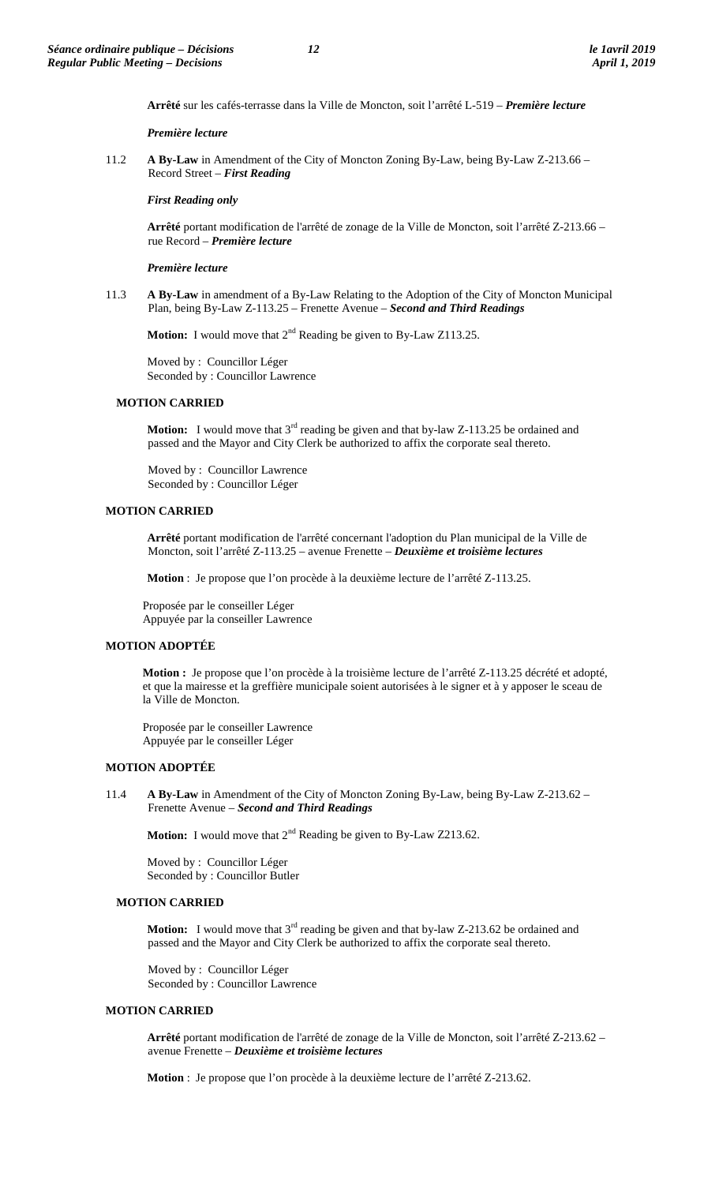**Arrêté** sur les cafés-terrasse dans la Ville de Moncton, soit l'arrêté L-519 – *Première lecture*

#### *Première lecture*

11.2 **A By-Law** in Amendment of the City of Moncton Zoning By-Law, being By-Law Z-213.66 – Record Street – *First Reading*

#### *First Reading only*

**Arrêté** portant modification de l'arrêté de zonage de la Ville de Moncton, soit l'arrêté Z-213.66 – rue Record – *Première lecture*

#### *Première lecture*

11.3 **A By-Law** in amendment of a By-Law Relating to the Adoption of the City of Moncton Municipal Plan, being By-Law Z-113.25 – Frenette Avenue – *Second and Third Readings*

**Motion:** I would move that 2<sup>nd</sup> Reading be given to By-Law Z113.25.

Moved by : Councillor Léger Seconded by : Councillor Lawrence

#### **MOTION CARRIED**

**Motion:** I would move that 3<sup>rd</sup> reading be given and that by-law Z-113.25 be ordained and passed and the Mayor and City Clerk be authorized to affix the corporate seal thereto.

Moved by : Councillor Lawrence Seconded by : Councillor Léger

# **MOTION CARRIED**

**Arrêté** portant modification de l'arrêté concernant l'adoption du Plan municipal de la Ville de Moncton, soit l'arrêté Z-113.25 – avenue Frenette – *Deuxième et troisième lectures*

**Motion** : Je propose que l'on procède à la deuxième lecture de l'arrêté Z-113.25.

Proposée par le conseiller Léger Appuyée par la conseiller Lawrence

# **MOTION ADOPTÉE**

**Motion :** Je propose que l'on procède à la troisième lecture de l'arrêté Z-113.25 décrété et adopté, et que la mairesse et la greffière municipale soient autorisées à le signer et à y apposer le sceau de la Ville de Moncton.

Proposée par le conseiller Lawrence Appuyée par le conseiller Léger

# **MOTION ADOPTÉE**

11.4 **A By-Law** in Amendment of the City of Moncton Zoning By-Law, being By-Law Z-213.62 – Frenette Avenue – *Second and Third Readings*

**Motion:** I would move that  $2^{nd}$  Reading be given to By-Law Z213.62.

Moved by : Councillor Léger Seconded by : Councillor Butler

#### **MOTION CARRIED**

**Motion:** I would move that 3<sup>rd</sup> reading be given and that by-law Z-213.62 be ordained and passed and the Mayor and City Clerk be authorized to affix the corporate seal thereto.

Moved by : Councillor Léger Seconded by : Councillor Lawrence

#### **MOTION CARRIED**

**Arrêté** portant modification de l'arrêté de zonage de la Ville de Moncton, soit l'arrêté Z-213.62 – avenue Frenette – *Deuxième et troisième lectures*

**Motion** : Je propose que l'on procède à la deuxième lecture de l'arrêté Z-213.62.